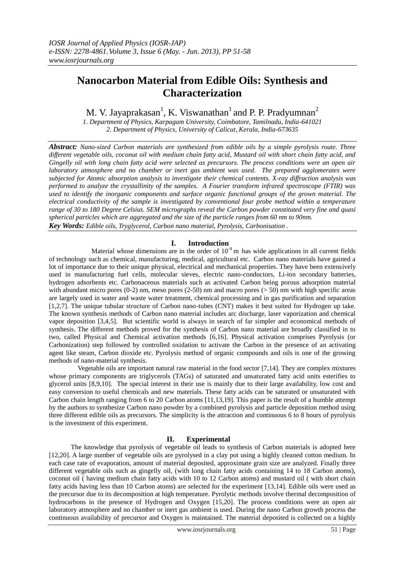# **Nanocarbon Material from Edible Oils: Synthesis and Characterization**

M. V. Jayaprakasan $^1$ , K. Viswanathan $^1$  and P. P. Pradyumnan $^2$ 

*1. Department of Physics, Karpagam University, Coimbatore, Tamilnadu, India-641021 2. Department of Physics, University of Calicut, Kerala, India-673635*

*Abstract: Nano-sized Carbon materials are synthesized from edible oils by a simple pyrolysis route. Three different vegetable oils, coconut oil with medium chain fatty acid, Mustard oil with short chain fatty acid, and Gingelly oil with long chain fatty acid were selected as precursors. The process conditions were an open air laboratory atmosphere and no chamber or inert gas ambient was used. The prepared agglomerates were subjected for Atomic absorption analysis to investigate their chemical contents. X-ray diffraction analysis was performed to analyze the crystallinity of the samples. A Fourier transform infrared spectroscope (FTIR) was used to identify the inorganic components and surface organic functional groups of the grown material. The electrical conductivity of the sample is investigated by conventional four probe method within a temperature range of 30 to 180 Degree Celsius. SEM micrographs reveal the Carbon powder constituted very fine and quasi spherical particles which are aggregated and the size of the particle ranges from 60 nm to 90nm. Key Words: Edible oils, Tryglycerol, Carbon nano material, Pyrolysis, Carbonisation .*

# **I. Introduction**

Material whose dimensions are in the order of  $10^{-9}$  m has wide applications in all current fields of technology such as chemical, manufacturing, medical, agricultural etc. Carbon nano materials have gained a lot of importance due to their unique physical, electrical and mechanical properties. They have been extensively used in manufacturing fuel cells, molecular sieves, electric nano-conductors, Li-ion secondary batteries, hydrogen adsorbents etc. Carbonaceous materials such as activated Carbon being porous adsorption material with abundant micro pores  $(0-2)$  nm, meso pores  $(2-50)$  nm and macro pores  $(5 50)$  nm with high specific areas are largely used in water and waste water treatment, chemical processing and in gas purification and separation [1,2,7]. The unique tubular structure of Carbon nano-tubes (CNT) makes it best suited for Hydrogen up take. The known synthesis methods of Carbon nano material includes arc discharge, laser vaporization and chemical vapor deposition [3,4,5]. But scientific world is always in search of far simpler and economical methods of synthesis. The different methods proved for the synthesis of Carbon nano material are broadly classified in to two, called Physical and Chemical activation methods [6,16]. Physical activation comprises Pyrolysis (or Carbonization) step followed by controlled oxidation to activate the Carbon in the presence of an activating agent like steam, Carbon dioxide etc. Pyrolysis method of organic compounds and oils is one of the growing methods of nano-material synthesis.

 Vegetable oils are important natural raw material in the food sector [7,14]. They are complex mixtures whose primary components are triglycerols (TAGs) of saturated and unsaturated fatty acid units esterifies to glycerol units [8,9,10]. The special interest in their use is mainly due to their large availability, low cost and easy conversion to useful chemicals and new materials. These fatty acids can be saturated or unsaturated with Carbon chain length ranging from 6 to 20 Carbon atoms [11,13,19]. This paper is the result of a humble attempt by the authors to synthesize Carbon nano powder by a combined pyrolysis and particle deposition method using three different edible oils as precursors. The simplicity is the attraction and continuous 6 to 8 hours of pyrolysis is the investment of this experiment.

# **II. Experimental**

 The knowledge that pyrolysis of vegetable oil leads to synthesis of Carbon materials is adopted here [12,20]. A large number of vegetable oils are pyrolysed in a clay pot using a highly cleaned cotton medium. In each case rate of evaporation, amount of material deposited, approximate grain size are analyzed. Finally three different vegetable oils such as gingelly oil, (with long chain fatty acids containing 14 to 18 Carbon atoms), coconut oil ( having medium chain fatty acids with 10 to 12 Carbon atoms) and mustard oil ( with short chain fatty acids having less than 10 Carbon atoms) are selected for the experiment [13,14]. Edible oils were used as the precursor due to its decomposition at high temperature. Pyrolytic methods involve thermal decomposition of hydrocarbons in the presence of Hydrogen and Oxygen [15,20]. The process conditions were an open air laboratory atmosphere and no chamber or inert gas ambient is used. During the nano Carbon growth process the continuous availability of precursor and Oxygen is maintained. The material deposited is collected on a highly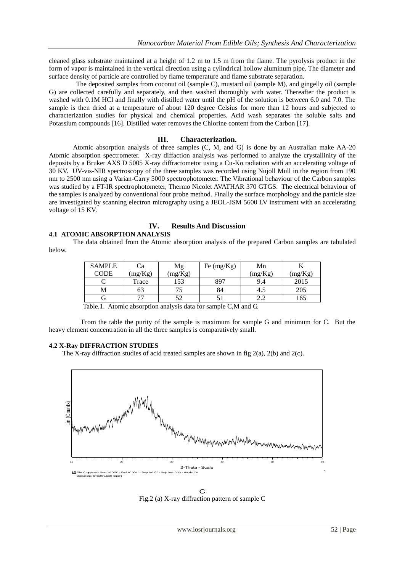cleaned glass substrate maintained at a height of 1.2 m to 1.5 m from the flame. The pyrolysis product in the form of vapor is maintained in the vertical direction using a cylindrical hollow aluminum pipe. The diameter and surface density of particle are controlled by flame temperature and flame substrate separation.

 The deposited samples from coconut oil (sample C), mustard oil (sample M), and gingelly oil (sample G) are collected carefully and separately, and then washed thoroughly with water. Thereafter the product is washed with 0.1M HCl and finally with distilled water until the pH of the solution is between 6.0 and 7.0. The sample is then dried at a temperature of about 120 degree Celsius for more than 12 hours and subjected to characterization studies for physical and chemical properties. Acid wash separates the soluble salts and Potassium compounds [16]. Distilled water removes the Chlorine content from the Carbon [17].

#### **III. Characterization.**

Atomic absorption analysis of three samples (C, M, and G) is done by an Australian make AA-20 Atomic absorption spectrometer. X-ray diffaction analysis was performed to analyze the crystallinity of the deposits by a Bruker AXS D 5005 X-ray diffractometor using a Cu-Kα radiation with an accelerating voltage of 30 KV. UV-vis-NIR spectroscopy of the three samples was recorded using Nujoll Mull in the region from 190 nm to 2500 nm using a Varian-Carry 5000 spectrophotometer. The Vibrational behaviour of the Carbon samples was studied by a FT-IR spectrophotometer, Thermo Nicolet AVATHAR 370 GTGS. The electrical behaviour of the samples is analyzed by conventional four probe method. Finally the surface morphology and the particle size are investigated by scanning electron micrography using a JEOL-JSM 5600 LV instrument with an accelerating voltage of 15 KV.

#### **IV. Results And Discussion 4.1 ATOMIC ABSORPTION ANALYSIS**

The data obtained from the Atomic absorption analysis of the prepared Carbon samples are tabulated below.

| <b>SAMPLE</b><br>CODE | Сa<br>(mg/Kg) | Mg<br>(mg/Kg) | Fe $(mg/Kg)$ | Mn<br>(mg/Kg) | (mg/Kg) |
|-----------------------|---------------|---------------|--------------|---------------|---------|
|                       | Trace         | 53            | 897          | 9.4           | 2015    |
|                       | 63            |               | 84           | 4.5           | 205     |
|                       |               | ເາ            |              | ے ۔           | 165     |

Table.1. Atomic absorption analysis data for sample C,M and G.

 From the table the purity of the sample is maximum for sample G and minimum for C. But the heavy element concentration in all the three samples is comparatively small.

#### **4.2 X-Ray DIFFRACTION STUDIES**

The X-ray diffraction studies of acid treated samples are shown in fig  $2(a)$ ,  $2(b)$  and  $2(c)$ .



C Fig.2 (a) X-ray diffraction pattern of sample C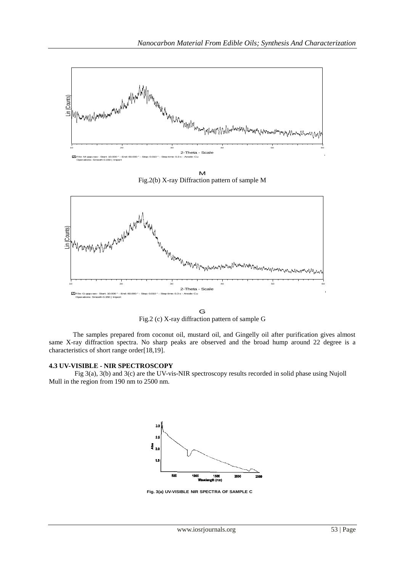

M Fig.2(b) X-ray Diffraction pattern of sample M



G Fig.2 (c) X-ray diffraction pattern of sample G

The samples prepared from coconut oil, mustard oil, and Gingelly oil after purification gives almost same X-ray diffraction spectra. No sharp peaks are observed and the broad hump around 22 degree is a characteristics of short range order[18,19].

## **4.3 UV-VISIBLE - NIR SPECTROSCOPY**

 Fig 3(a), 3(b) and 3(c) are the UV-vis-NIR spectroscopy results recorded in solid phase using Nujoll Mull in the region from 190 nm to 2500 nm.



**Fig. 3(a) UV-VISIBLE NIR SPECTRA OF SAMPLE C**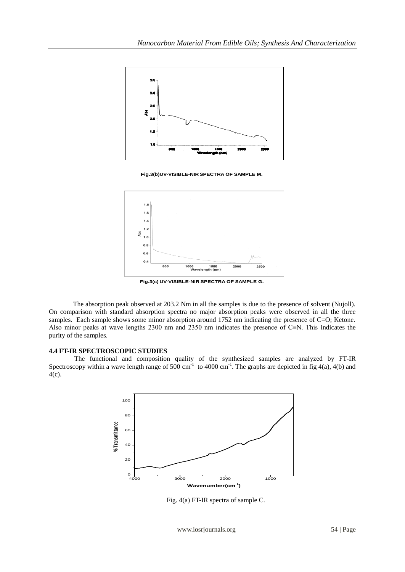

**Fig.3(b)UV-VISIBLE-NIR SPECTRA OF SAMPLE M.**



**Fig.3(c) UV-VISIBLE-NIR SPECTRA OF SAMPLE G.**

The absorption peak observed at 203.2 Nm in all the samples is due to the presence of solvent (Nujoll). On comparison with standard absorption spectra no major absorption peaks were observed in all the three samples. Each sample shows some minor absorption around 1752 nm indicating the presence of C=O; Ketone. Also minor peaks at wave lengths 2300 nm and 2350 nm indicates the presence of C≡N. This indicates the purity of the samples.

## **4.4 FT-IR SPECTROSCOPIC STUDIES**

 The functional and composition quality of the synthesized samples are analyzed by FT-IR Spectroscopy within a wave length range of 500 cm<sup>-1</sup> to 4000 cm<sup>-1</sup>. The graphs are depicted in fig 4(a), 4(b) and  $\overline{4(c)}$ .



Fig. 4(a) FT-IR spectra of sample C.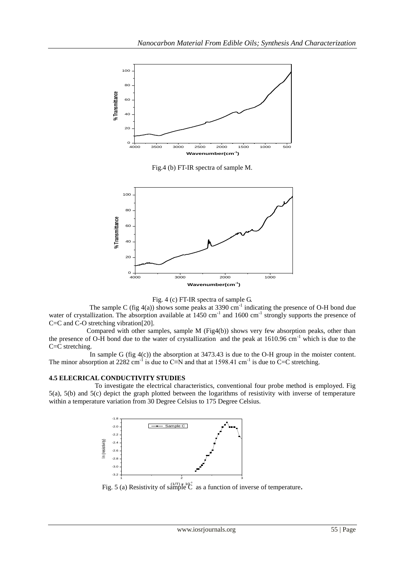

Fig.4 (b) FT-IR spectra of sample M.





The sample C (fig  $4(a)$ ) shows some peaks at 3390 cm<sup>-1</sup> indicating the presence of O-H bond due water of crystallization. The absorption available at 1450 cm<sup>-1</sup> and 1600 cm<sup>-1</sup> strongly supports the presence of C=C and C-O stretching vibration[20].

 Compared with other samples, sample M (Fig4(b)) shows very few absorption peaks, other than the presence of O-H bond due to the water of crystallization and the peak at 1610.96 cm-1 which is due to the C=C stretching.

In sample G (fig  $4(c)$ ) the absorption at 3473.43 is due to the O-H group in the moister content. The minor absorption at 2282 cm<sup>-1</sup> is due to C≡N and that at 1598.41 cm<sup>-1</sup> is due to C=C stretching.

## **4.5 ELECRICAL CONDUCTIVITY STUDIES**

 To investigate the electrical characteristics, conventional four probe method is employed. Fig 5(a), 5(b) and 5(c) depict the graph plotted between the logarithms of resistivity with inverse of temperature within a temperature variation from 30 Degree Celsius to 175 Degree Celsius.



Fig. 5 (a) Resistivity of sample  $\overrightarrow{C}$  as a function of inverse of temperature.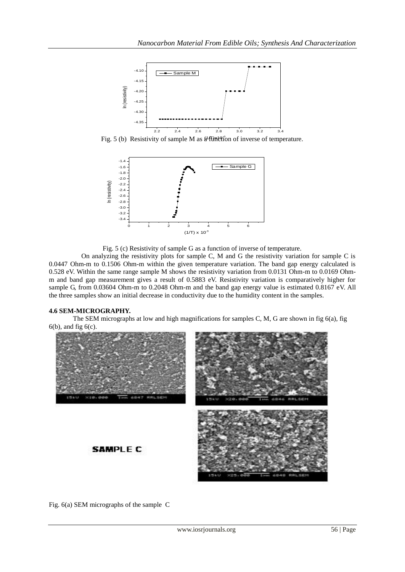

Fig. 5 (b) Resistivity of sample M as a full the flow of inverse of temperature.



Fig. 5 (c) Resistivity of sample G as a function of inverse of temperature.

 On analyzing the resistivity plots for sample C, M and G the resistivity variation for sample C is 0.0447 Ohm-m to 0.1506 Ohm-m within the given temperature variation. The band gap energy calculated is 0.528 eV. Within the same range sample M shows the resistivity variation from 0.0131 Ohm-m to 0.0169 Ohmm and band gap measurement gives a result of 0.5883 eV. Resistivity variation is comparatively higher for sample G, from 0.03604 Ohm-m to 0.2048 Ohm-m and the band gap energy value is estimated 0.8167 eV. All the three samples show an initial decrease in conductivity due to the humidity content in the samples.

# **4.6 SEM-MICROGRAPHY.**

The SEM micrographs at low and high magnifications for samples C, M, G are shown in fig  $6(a)$ , fig  $6(b)$ , and fig  $6(c)$ .



Fig. 6(a) SEM micrographs of the sample C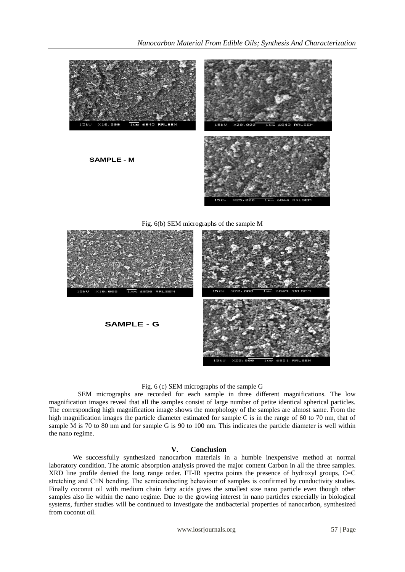

## Fig. 6 (c) SEM micrographs of the sample G

 SEM micrographs are recorded for each sample in three different magnifications. The low magnification images reveal that all the samples consist of large number of petite identical spherical particles. The corresponding high magnification image shows the morphology of the samples are almost same. From the high magnification images the particle diameter estimated for sample C is in the range of 60 to 70 nm, that of sample M is 70 to 80 nm and for sample G is 90 to 100 nm. This indicates the particle diameter is well within the nano regime.

## **V. Conclusion**

We successfully synthesized nanocarbon materials in a humble inexpensive method at normal laboratory condition. The atomic absorption analysis proved the major content Carbon in all the three samples. XRD line profile denied the long range order. FT-IR spectra points the presence of hydroxyl groups, C=C stretching and C≡N bending. The semiconducting behaviour of samples is confirmed by conductivity studies. Finally coconut oil with medium chain fatty acids gives the smallest size nano particle even though other samples also lie within the nano regime. Due to the growing interest in nano particles especially in biological systems, further studies will be continued to investigate the antibacterial properties of nanocarbon, synthesized from coconut oil.